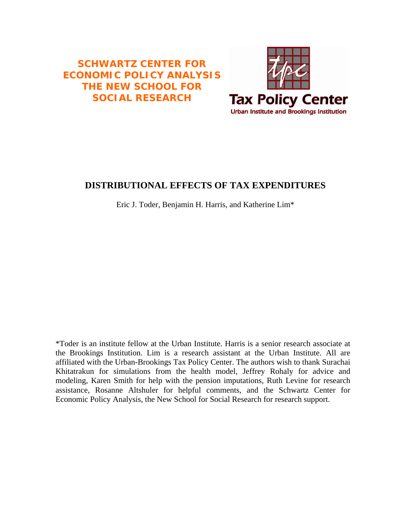# **SCHWARTZ CENTER FOR ECONOMIC POLICY ANALYSIS THE NEW SCHOOL FOR SOCIAL RESEARCH**



## **DISTRIBUTIONAL EFFECTS OF TAX EXPENDITURES**

Eric J. Toder, Benjamin H. Harris, and Katherine Lim\*

\*Toder is an institute fellow at the Urban Institute. Harris is a senior research associate at the Brookings Institution. Lim is a research assistant at the Urban Institute. All are affiliated with the Urban-Brookings Tax Policy Center. The authors wish to thank Surachai Khitatrakun for simulations from the health model, Jeffrey Rohaly for advice and modeling, Karen Smith for help with the pension imputations, Ruth Levine for research assistance, Rosanne Altshuler for helpful comments, and the Schwartz Center for Economic Policy Analysis, the New School for Social Research for research support.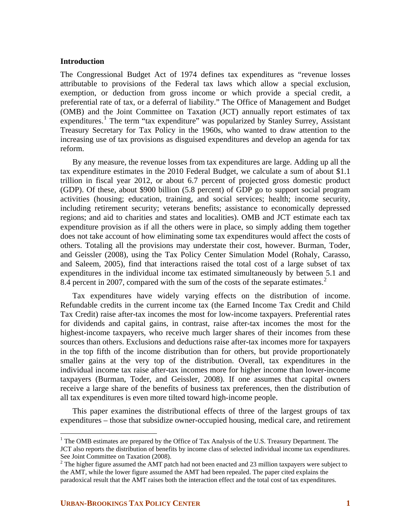### **Introduction**

The Congressional Budget Act of 1974 defines tax expenditures as "revenue losses attributable to provisions of the Federal tax laws which allow a special exclusion, exemption, or deduction from gross income or which provide a special credit, a preferential rate of tax, or a deferral of liability." The Office of Management and Budget (OMB) and the Joint Committee on Taxation (JCT) annually report estimates of tax expenditures.<sup>[1](#page-1-0)</sup> The term "tax expenditure" was popularized by Stanley Surrey, Assistant Treasury Secretary for Tax Policy in the 1960s, who wanted to draw attention to the increasing use of tax provisions as disguised expenditures and develop an agenda for tax reform.

By any measure, the revenue losses from tax expenditures are large. Adding up all the tax expenditure estimates in the 2010 Federal Budget, we calculate a sum of about \$1.1 trillion in fiscal year 2012, or about 6.7 percent of projected gross domestic product (GDP). Of these, about \$900 billion (5.8 percent) of GDP go to support social program activities (housing; education, training, and social services; health; income security, including retirement security; veterans benefits; assistance to economically depressed regions; and aid to charities and states and localities). OMB and JCT estimate each tax expenditure provision as if all the others were in place, so simply adding them together does not take account of how eliminating some tax expenditures would affect the costs of others. Totaling all the provisions may understate their cost, however. Burman, Toder, and Geissler (2008), using the Tax Policy Center Simulation Model (Rohaly, Carasso, and Saleem, 2005), find that interactions raised the total cost of a large subset of tax expenditures in the individual income tax estimated simultaneously by between 5.1 and 8.4 percent in [2](#page-1-1)007, compared with the sum of the costs of the separate estimates.<sup>2</sup>

Tax expenditures have widely varying effects on the distribution of income. Refundable credits in the current income tax (the Earned Income Tax Credit and Child Tax Credit) raise after-tax incomes the most for low-income taxpayers. Preferential rates for dividends and capital gains, in contrast, raise after-tax incomes the most for the highest-income taxpayers, who receive much larger shares of their incomes from these sources than others. Exclusions and deductions raise after-tax incomes more for taxpayers in the top fifth of the income distribution than for others, but provide proportionately smaller gains at the very top of the distribution. Overall, tax expenditures in the individual income tax raise after-tax incomes more for higher income than lower-income taxpayers (Burman, Toder, and Geissler, 2008). If one assumes that capital owners receive a large share of the benefits of business tax preferences, then the distribution of all tax expenditures is even more tilted toward high-income people.

This paper examines the distributional effects of three of the largest groups of tax expenditures – those that subsidize owner-occupied housing, medical care, and retirement

 $\overline{a}$ 

<span id="page-1-0"></span><sup>&</sup>lt;sup>1</sup> The OMB estimates are prepared by the Office of Tax Analysis of the U.S. Treasury Department. The JCT also reports the distribution of benefits by income class of selected individual income tax expenditures. See Joint Committee on Taxation (2008).

<span id="page-1-1"></span> $2^2$  The higher figure assumed the AMT patch had not been enacted and 23 million taxpayers were subject to the AMT, while the lower figure assumed the AMT had been repealed. The paper cited explains the paradoxical result that the AMT raises both the interaction effect and the total cost of tax expenditures.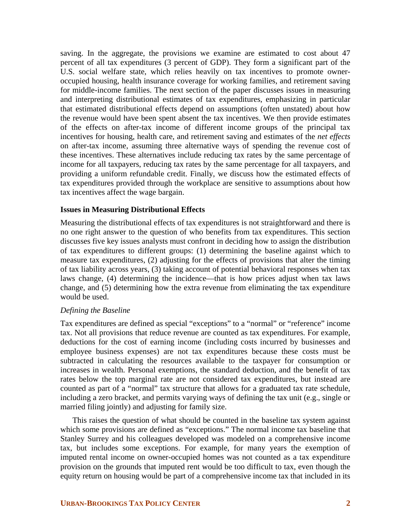saving. In the aggregate, the provisions we examine are estimated to cost about 47 percent of all tax expenditures (3 percent of GDP). They form a significant part of the U.S. social welfare state, which relies heavily on tax incentives to promote owneroccupied housing, health insurance coverage for working families, and retirement saving for middle-income families. The next section of the paper discusses issues in measuring and interpreting distributional estimates of tax expenditures, emphasizing in particular that estimated distributional effects depend on assumptions (often unstated) about how the revenue would have been spent absent the tax incentives. We then provide estimates of the effects on after-tax income of different income groups of the principal tax incentives for housing, health care, and retirement saving and estimates of the *net effects* on after-tax income, assuming three alternative ways of spending the revenue cost of these incentives. These alternatives include reducing tax rates by the same percentage of income for all taxpayers, reducing tax rates by the same percentage for all taxpayers, and providing a uniform refundable credit. Finally, we discuss how the estimated effects of tax expenditures provided through the workplace are sensitive to assumptions about how tax incentives affect the wage bargain.

#### **Issues in Measuring Distributional Effects**

Measuring the distributional effects of tax expenditures is not straightforward and there is no one right answer to the question of who benefits from tax expenditures. This section discusses five key issues analysts must confront in deciding how to assign the distribution of tax expenditures to different groups: (1) determining the baseline against which to measure tax expenditures, (2) adjusting for the effects of provisions that alter the timing of tax liability across years, (3) taking account of potential behavioral responses when tax laws change, (4) determining the incidence—that is how prices adjust when tax laws change, and (5) determining how the extra revenue from eliminating the tax expenditure would be used.

## *Defining the Baseline*

Tax expenditures are defined as special "exceptions" to a "normal" or "reference" income tax. Not all provisions that reduce revenue are counted as tax expenditures. For example, deductions for the cost of earning income (including costs incurred by businesses and employee business expenses) are not tax expenditures because these costs must be subtracted in calculating the resources available to the taxpayer for consumption or increases in wealth. Personal exemptions, the standard deduction, and the benefit of tax rates below the top marginal rate are not considered tax expenditures, but instead are counted as part of a "normal" tax structure that allows for a graduated tax rate schedule, including a zero bracket, and permits varying ways of defining the tax unit (e.g., single or married filing jointly) and adjusting for family size.

This raises the question of what should be counted in the baseline tax system against which some provisions are defined as "exceptions." The normal income tax baseline that Stanley Surrey and his colleagues developed was modeled on a comprehensive income tax, but includes some exceptions. For example, for many years the exemption of imputed rental income on owner-occupied homes was not counted as a tax expenditure provision on the grounds that imputed rent would be too difficult to tax, even though the equity return on housing would be part of a comprehensive income tax that included in its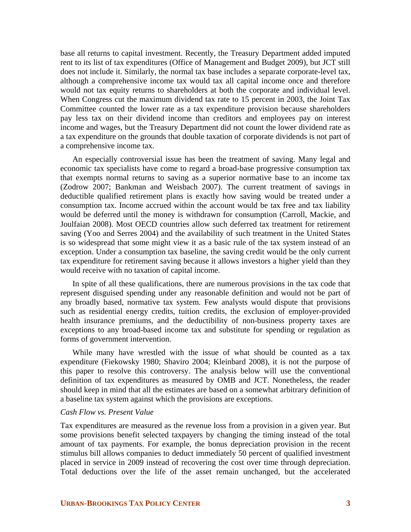base all returns to capital investment. Recently, the Treasury Department added imputed rent to its list of tax expenditures (Office of Management and Budget 2009), but JCT still does not include it. Similarly, the normal tax base includes a separate corporate-level tax, although a comprehensive income tax would tax all capital income once and therefore would not tax equity returns to shareholders at both the corporate and individual level. When Congress cut the maximum dividend tax rate to 15 percent in 2003, the Joint Tax Committee counted the lower rate as a tax expenditure provision because shareholders pay less tax on their dividend income than creditors and employees pay on interest income and wages, but the Treasury Department did not count the lower dividend rate as a tax expenditure on the grounds that double taxation of corporate dividends is not part of a comprehensive income tax.

An especially controversial issue has been the treatment of saving. Many legal and economic tax specialists have come to regard a broad-base progressive consumption tax that exempts normal returns to saving as a superior normative base to an income tax (Zodrow 2007; Bankman and Weisbach 2007). The current treatment of savings in deductible qualified retirement plans is exactly how saving would be treated under a consumption tax. Income accrued within the account would be tax free and tax liability would be deferred until the money is withdrawn for consumption (Carroll, Mackie, and Joulfaian 2008). Most OECD countries allow such deferred tax treatment for retirement saving (Yoo and Serres 2004) and the availability of such treatment in the United States is so widespread that some might view it as a basic rule of the tax system instead of an exception. Under a consumption tax baseline, the saving credit would be the only current tax expenditure for retirement saving because it allows investors a higher yield than they would receive with no taxation of capital income.

In spite of all these qualifications, there are numerous provisions in the tax code that represent disguised spending under any reasonable definition and would not be part of any broadly based, normative tax system. Few analysts would dispute that provisions such as residential energy credits, tuition credits, the exclusion of employer-provided health insurance premiums, and the deductibility of non-business property taxes are exceptions to any broad-based income tax and substitute for spending or regulation as forms of government intervention.

While many have wrestled with the issue of what should be counted as a tax expenditure (Fiekowsky 1980; Shaviro 2004; Kleinbard 2008), it is not the purpose of this paper to resolve this controversy. The analysis below will use the conventional definition of tax expenditures as measured by OMB and JCT. Nonetheless, the reader should keep in mind that all the estimates are based on a somewhat arbitrary definition of a baseline tax system against which the provisions are exceptions.

## *Cash Flow vs. Present Value*

Tax expenditures are measured as the revenue loss from a provision in a given year. But some provisions benefit selected taxpayers by changing the timing instead of the total amount of tax payments. For example, the bonus depreciation provision in the recent stimulus bill allows companies to deduct immediately 50 percent of qualified investment placed in service in 2009 instead of recovering the cost over time through depreciation. Total deductions over the life of the asset remain unchanged, but the accelerated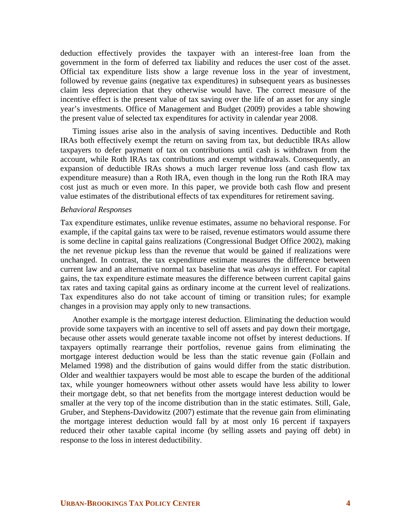deduction effectively provides the taxpayer with an interest-free loan from the government in the form of deferred tax liability and reduces the user cost of the asset. Official tax expenditure lists show a large revenue loss in the year of investment, followed by revenue gains (negative tax expenditures) in subsequent years as businesses claim less depreciation that they otherwise would have. The correct measure of the incentive effect is the present value of tax saving over the life of an asset for any single year's investments. Office of Management and Budget (2009) provides a table showing the present value of selected tax expenditures for activity in calendar year 2008.

Timing issues arise also in the analysis of saving incentives. Deductible and Roth IRAs both effectively exempt the return on saving from tax, but deductible IRAs allow taxpayers to defer payment of tax on contributions until cash is withdrawn from the account, while Roth IRAs tax contributions and exempt withdrawals. Consequently, an expansion of deductible IRAs shows a much larger revenue loss (and cash flow tax expenditure measure) than a Roth IRA, even though in the long run the Roth IRA may cost just as much or even more. In this paper, we provide both cash flow and present value estimates of the distributional effects of tax expenditures for retirement saving.

#### *Behavioral Responses*

Tax expenditure estimates, unlike revenue estimates, assume no behavioral response. For example, if the capital gains tax were to be raised, revenue estimators would assume there is some decline in capital gains realizations (Congressional Budget Office 2002), making the net revenue pickup less than the revenue that would be gained if realizations were unchanged. In contrast, the tax expenditure estimate measures the difference between current law and an alternative normal tax baseline that was *always* in effect. For capital gains, the tax expenditure estimate measures the difference between current capital gains tax rates and taxing capital gains as ordinary income at the current level of realizations. Tax expenditures also do not take account of timing or transition rules; for example changes in a provision may apply only to new transactions.

Another example is the mortgage interest deduction. Eliminating the deduction would provide some taxpayers with an incentive to sell off assets and pay down their mortgage, because other assets would generate taxable income not offset by interest deductions. If taxpayers optimally rearrange their portfolios, revenue gains from eliminating the mortgage interest deduction would be less than the static revenue gain (Follain and Melamed 1998) and the distribution of gains would differ from the static distribution. Older and wealthier taxpayers would be most able to escape the burden of the additional tax, while younger homeowners without other assets would have less ability to lower their mortgage debt, so that net benefits from the mortgage interest deduction would be smaller at the very top of the income distribution than in the static estimates. Still, Gale, Gruber, and Stephens-Davidowitz (2007) estimate that the revenue gain from eliminating the mortgage interest deduction would fall by at most only 16 percent if taxpayers reduced their other taxable capital income (by selling assets and paying off debt) in response to the loss in interest deductibility.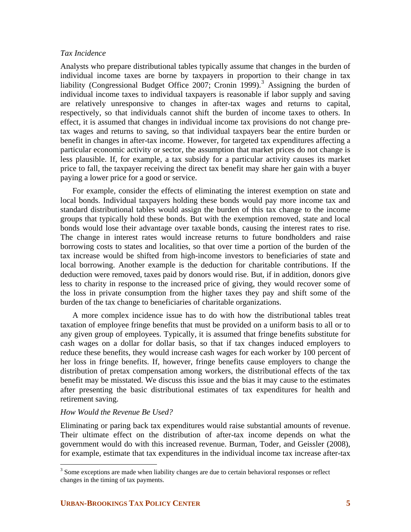## *Tax Incidence*

Analysts who prepare distributional tables typically assume that changes in the burden of individual income taxes are borne by taxpayers in proportion to their change in tax liability (Congressional Budget Office 2007; Cronin 1999).<sup>[3](#page-5-0)</sup> Assigning the burden of individual income taxes to individual taxpayers is reasonable if labor supply and saving are relatively unresponsive to changes in after-tax wages and returns to capital, respectively, so that individuals cannot shift the burden of income taxes to others. In effect, it is assumed that changes in individual income tax provisions do not change pretax wages and returns to saving, so that individual taxpayers bear the entire burden or benefit in changes in after-tax income. However, for targeted tax expenditures affecting a particular economic activity or sector, the assumption that market prices do not change is less plausible. If, for example, a tax subsidy for a particular activity causes its market price to fall, the taxpayer receiving the direct tax benefit may share her gain with a buyer paying a lower price for a good or service.

For example, consider the effects of eliminating the interest exemption on state and local bonds. Individual taxpayers holding these bonds would pay more income tax and standard distributional tables would assign the burden of this tax change to the income groups that typically hold these bonds. But with the exemption removed, state and local bonds would lose their advantage over taxable bonds, causing the interest rates to rise. The change in interest rates would increase returns to future bondholders and raise borrowing costs to states and localities, so that over time a portion of the burden of the tax increase would be shifted from high-income investors to beneficiaries of state and local borrowing. Another example is the deduction for charitable contributions. If the deduction were removed, taxes paid by donors would rise. But, if in addition, donors give less to charity in response to the increased price of giving, they would recover some of the loss in private consumption from the higher taxes they pay and shift some of the burden of the tax change to beneficiaries of charitable organizations.

A more complex incidence issue has to do with how the distributional tables treat taxation of employee fringe benefits that must be provided on a uniform basis to all or to any given group of employees. Typically, it is assumed that fringe benefits substitute for cash wages on a dollar for dollar basis, so that if tax changes induced employers to reduce these benefits, they would increase cash wages for each worker by 100 percent of her loss in fringe benefits. If, however, fringe benefits cause employers to change the distribution of pretax compensation among workers, the distributional effects of the tax benefit may be misstated. We discuss this issue and the bias it may cause to the estimates after presenting the basic distributional estimates of tax expenditures for health and retirement saving.

## *How Would the Revenue Be Used?*

Eliminating or paring back tax expenditures would raise substantial amounts of revenue. Their ultimate effect on the distribution of after-tax income depends on what the government would do with this increased revenue. Burman, Toder, and Geissler (2008), for example, estimate that tax expenditures in the individual income tax increase after-tax

<span id="page-5-0"></span><sup>&</sup>lt;sup>3</sup> Some exceptions are made when liability changes are due to certain behavioral responses or reflect changes in the timing of tax payments.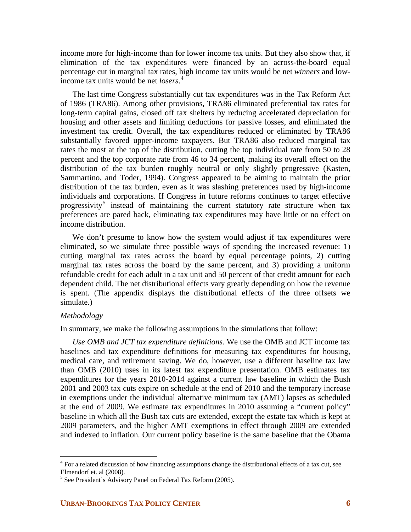income more for high-income than for lower income tax units. But they also show that, if elimination of the tax expenditures were financed by an across-the-board equal percentage cut in marginal tax rates, high income tax units would be net *winners* and lowincome tax units would be net *losers*. [4](#page-6-0)

The last time Congress substantially cut tax expenditures was in the Tax Reform Act of 1986 (TRA86). Among other provisions, TRA86 eliminated preferential tax rates for long-term capital gains, closed off tax shelters by reducing accelerated depreciation for housing and other assets and limiting deductions for passive losses, and eliminated the investment tax credit. Overall, the tax expenditures reduced or eliminated by TRA86 substantially favored upper-income taxpayers. But TRA86 also reduced marginal tax rates the most at the top of the distribution, cutting the top individual rate from 50 to 28 percent and the top corporate rate from 46 to 34 percent, making its overall effect on the distribution of the tax burden roughly neutral or only slightly progressive (Kasten, Sammartino, and Toder, 1994). Congress appeared to be aiming to maintain the prior distribution of the tax burden, even as it was slashing preferences used by high-income individuals and corporations. If Congress in future reforms continues to target effective progressivity<sup>[5](#page-6-1)</sup> instead of maintaining the current statutory rate structure when tax preferences are pared back, eliminating tax expenditures may have little or no effect on income distribution.

We don't presume to know how the system would adjust if tax expenditures were eliminated, so we simulate three possible ways of spending the increased revenue: 1) cutting marginal tax rates across the board by equal percentage points, 2) cutting marginal tax rates across the board by the same percent, and 3) providing a uniform refundable credit for each adult in a tax unit and 50 percent of that credit amount for each dependent child. The net distributional effects vary greatly depending on how the revenue is spent. (The appendix displays the distributional effects of the three offsets we simulate.)

## *Methodology*

 $\overline{a}$ 

In summary, we make the following assumptions in the simulations that follow:

*Use OMB and JCT tax expenditure definitions.* We use the OMB and JCT income tax baselines and tax expenditure definitions for measuring tax expenditures for housing, medical care, and retirement saving. We do, however, use a different baseline tax law than OMB (2010) uses in its latest tax expenditure presentation. OMB estimates tax expenditures for the years 2010-2014 against a current law baseline in which the Bush 2001 and 2003 tax cuts expire on schedule at the end of 2010 and the temporary increase in exemptions under the individual alternative minimum tax (AMT) lapses as scheduled at the end of 2009. We estimate tax expenditures in 2010 assuming a "current policy" baseline in which all the Bush tax cuts are extended, except the estate tax which is kept at 2009 parameters, and the higher AMT exemptions in effect through 2009 are extended and indexed to inflation. Our current policy baseline is the same baseline that the Obama

<span id="page-6-0"></span><sup>&</sup>lt;sup>4</sup> For a related discussion of how financing assumptions change the distributional effects of a tax cut, see Elmendorf et. al (2008).

<span id="page-6-1"></span><sup>&</sup>lt;sup>5</sup> See President's Advisory Panel on Federal Tax Reform (2005).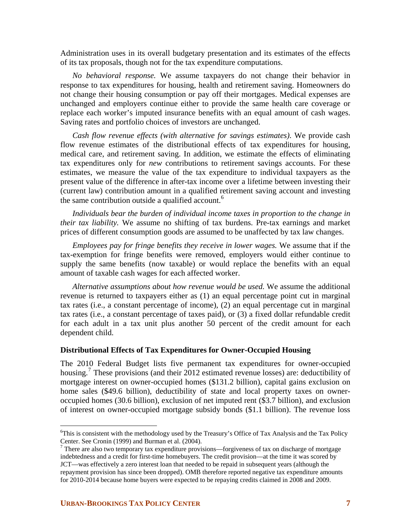Administration uses in its overall budgetary presentation and its estimates of the effects of its tax proposals, though not for the tax expenditure computations.

*No behavioral response.* We assume taxpayers do not change their behavior in response to tax expenditures for housing, health and retirement saving. Homeowners do not change their housing consumption or pay off their mortgages. Medical expenses are unchanged and employers continue either to provide the same health care coverage or replace each worker's imputed insurance benefits with an equal amount of cash wages. Saving rates and portfolio choices of investors are unchanged.

*Cash flow revenue effects (with alternative for savings estimates)*. We provide cash flow revenue estimates of the distributional effects of tax expenditures for housing, medical care, and retirement saving. In addition, we estimate the effects of eliminating tax expenditures only for *new* contributions to retirement savings accounts. For these estimates, we measure the value of the tax expenditure to individual taxpayers as the present value of the difference in after-tax income over a lifetime between investing their (current law) contribution amount in a qualified retirement saving account and investing the same contribution outside a qualified account.<sup>[6](#page-7-0)</sup>

*Individuals bear the burden of individual income taxes in proportion to the change in their tax liability.* We assume no shifting of tax burdens. Pre-tax earnings and market prices of different consumption goods are assumed to be unaffected by tax law changes.

*Employees pay for fringe benefits they receive in lower wages.* We assume that if the tax-exemption for fringe benefits were removed, employers would either continue to supply the same benefits (now taxable) or would replace the benefits with an equal amount of taxable cash wages for each affected worker.

*Alternative assumptions about how revenue would be used.* We assume the additional revenue is returned to taxpayers either as (1) an equal percentage point cut in marginal tax rates (i.e., a constant percentage of income), (2) an equal percentage cut in marginal tax rates (i.e., a constant percentage of taxes paid), or (3) a fixed dollar refundable credit for each adult in a tax unit plus another 50 percent of the credit amount for each dependent child.

## **Distributional Effects of Tax Expenditures for Owner-Occupied Housing**

The 2010 Federal Budget lists five permanent tax expenditures for owner-occupied housing.<sup>[7](#page-7-1)</sup> These provisions (and their 2012 estimated revenue losses) are: deductibility of mortgage interest on owner-occupied homes (\$131.2 billion), capital gains exclusion on home sales (\$49.6 billion), deductibility of state and local property taxes on owneroccupied homes (30.6 billion), exclusion of net imputed rent (\$3.7 billion), and exclusion of interest on owner-occupied mortgage subsidy bonds (\$1.1 billion). The revenue loss

<u>.</u>

<span id="page-7-0"></span><sup>&</sup>lt;sup>6</sup>This is consistent with the methodology used by the Treasury's Office of Tax Analysis and the Tax Policy Center. See Cronin (1999) and Burman et al. (2004).

<span id="page-7-1"></span> $<sup>7</sup>$  There are also two temporary tax expenditure provisions—forgiveness of tax on discharge of mortgage</sup> indebtedness and a credit for first-time homebuyers. The credit provision—at the time it was scored by JCT—was effectively a zero interest loan that needed to be repaid in subsequent years (although the repayment provision has since been dropped). OMB therefore reported negative tax expenditure amounts for 2010-2014 because home buyers were expected to be repaying credits claimed in 2008 and 2009.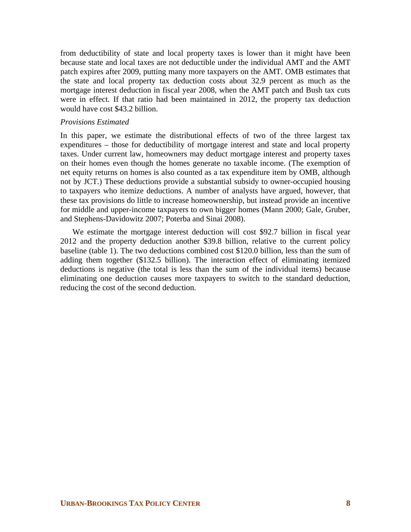from deductibility of state and local property taxes is lower than it might have been because state and local taxes are not deductible under the individual AMT and the AMT patch expires after 2009, putting many more taxpayers on the AMT. OMB estimates that the state and local property tax deduction costs about 32.9 percent as much as the mortgage interest deduction in fiscal year 2008, when the AMT patch and Bush tax cuts were in effect. If that ratio had been maintained in 2012, the property tax deduction would have cost \$43.2 billion.

## *Provisions Estimated*

In this paper, we estimate the distributional effects of two of the three largest tax expenditures – those for deductibility of mortgage interest and state and local property taxes. Under current law, homeowners may deduct mortgage interest and property taxes on their homes even though the homes generate no taxable income. (The exemption of net equity returns on homes is also counted as a tax expenditure item by OMB, although not by JCT.) These deductions provide a substantial subsidy to owner-occupied housing to taxpayers who itemize deductions. A number of analysts have argued, however, that these tax provisions do little to increase homeownership, but instead provide an incentive for middle and upper-income taxpayers to own bigger homes (Mann 2000; Gale, Gruber, and Stephens-Davidowitz 2007; Poterba and Sinai 2008).

We estimate the mortgage interest deduction will cost \$92.7 billion in fiscal year 2012 and the property deduction another \$39.8 billion, relative to the current policy baseline (table 1). The two deductions combined cost \$120.0 billion, less than the sum of adding them together (\$132.5 billion). The interaction effect of eliminating itemized deductions is negative (the total is less than the sum of the individual items) because eliminating one deduction causes more taxpayers to switch to the standard deduction, reducing the cost of the second deduction.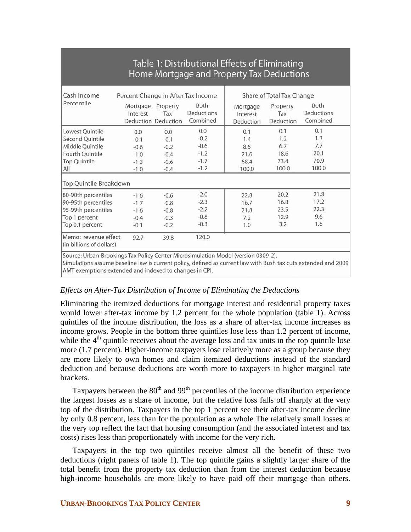## Table 1: Distributional Effects of Eliminating Home Mortgage and Property Tax Deductions

| Cash Income                                                                                                                                                                                        | Percent Change in After Tax Income                    |                                                       |                                                       | Share of Total Tax Change                  |                                            |                                            |  |
|----------------------------------------------------------------------------------------------------------------------------------------------------------------------------------------------------|-------------------------------------------------------|-------------------------------------------------------|-------------------------------------------------------|--------------------------------------------|--------------------------------------------|--------------------------------------------|--|
| Percentile                                                                                                                                                                                         | Mortgage<br>Interest                                  | Property<br>Tax<br>Deduction Deduction                | Both<br>Deductions<br>Combined                        | Mortgage<br>Interest<br>Deduction          | Property<br>Tax<br>Deduction               | Both<br>Deductions<br>Combined             |  |
| Lowest Quintile<br>Second Quintile<br>Middle Quintile<br>Fourth Quintile<br><b>Top Quintile</b><br>All                                                                                             | 0.0<br>$-0.1$<br>$-0.6$<br>$-1.0$<br>$-1.3$<br>$-1.0$ | 0.0<br>$-0.1$<br>$-0.2$<br>$-0.4$<br>$-0.6$<br>$-0.4$ | 0.0<br>$-0.2$<br>$-0.6$<br>$-1.2$<br>$-1.7$<br>$-1.2$ | 0.1<br>1.4<br>8.6<br>21.6<br>68.4<br>100.0 | 0.1<br>1.2<br>6.7<br>18.6<br>73.4<br>100.0 | 0.1<br>1.3<br>7.7<br>20.1<br>70.9<br>100.0 |  |
| Top Quintile Breakdown                                                                                                                                                                             |                                                       |                                                       |                                                       |                                            |                                            |                                            |  |
| 80-90th percentiles<br>90-95th percentiles<br>95-99th percentiles<br>Top 1 percent<br>Top 0.1 percent                                                                                              | $-1.6$<br>$-1.7$<br>$-1.6$<br>$-0.4$<br>$-0.1$        | $-0.6$<br>$-0.8$<br>$-0.8$<br>$-0.3$<br>$-0.2$        | $-2.0$<br>$-2.3$<br>$-2.2$<br>$-0.8$<br>$-0.3$        | 22.8<br>16.7<br>21.8<br>7.2<br>1.0         | 20.2<br>16.8<br>23.5<br>12.9<br>3.2        | 21.8<br>17.2<br>22.3<br>9.6<br>1.8         |  |
| Memo: revenue effect<br>(in billions of dollars)                                                                                                                                                   | 92.7                                                  | 39.8                                                  | 120.0                                                 |                                            |                                            |                                            |  |
| Source: Urban-Brookings Tax Policy Center Microsimulation Model (version 0309-2).<br>Simulations assume baseline law is current policy defined as current law with Rush tay cuts extended and 2009 |                                                       |                                                       |                                                       |                                            |                                            |                                            |  |

Simulations assume baseline law is current policy, defined as current law with Bush tax cuts AMT exemptions extended and indexed to changes in CPI.

## *Effects on After-Tax Distribution of Income of Eliminating the Deductions*

Eliminating the itemized deductions for mortgage interest and residential property taxes would lower after-tax income by 1.2 percent for the whole population (table 1). Across quintiles of the income distribution, the loss as a share of after-tax income increases as income grows. People in the bottom three quintiles lose less than 1.2 percent of income, while the  $4<sup>th</sup>$  quintile receives about the average loss and tax units in the top quintile lose more (1.7 percent). Higher-income taxpayers lose relatively more as a group because they are more likely to own homes and claim itemized deductions instead of the standard deduction and because deductions are worth more to taxpayers in higher marginal rate brackets.

Taxpayers between the  $80<sup>th</sup>$  and  $99<sup>th</sup>$  percentiles of the income distribution experience the largest losses as a share of income, but the relative loss falls off sharply at the very top of the distribution. Taxpayers in the top 1 percent see their after-tax income decline by only 0.8 percent, less than for the population as a whole The relatively small losses at the very top reflect the fact that housing consumption (and the associated interest and tax costs) rises less than proportionately with income for the very rich.

Taxpayers in the top two quintiles receive almost all the benefit of these two deductions (right panels of table 1). The top quintile gains a slightly larger share of the total benefit from the property tax deduction than from the interest deduction because high-income households are more likely to have paid off their mortgage than others.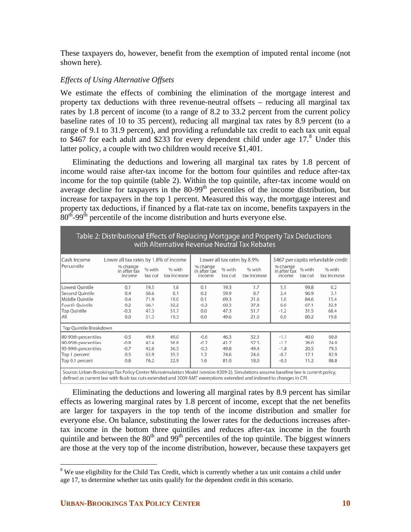These taxpayers do, however, benefit from the exemption of imputed rental income (not shown here).

## *Effects of Using Alternative Offsets*

We estimate the effects of combining the elimination of the mortgage interest and property tax deductions with three revenue-neutral offsets – reducing all marginal tax rates by 1.8 percent of income (to a range of 8.2 to 33.2 percent from the current policy baseline rates of 10 to 35 percent), reducing all marginal tax rates by 8.9 percent (to a range of 9.1 to 31.9 percent), and providing a refundable tax credit to each tax unit equal to \$467 for each adult and \$233 for every dependent child under age  $17<sup>8</sup>$  $17<sup>8</sup>$  $17<sup>8</sup>$  Under this latter policy, a couple with two children would receive \$1,401.

Eliminating the deductions and lowering all marginal tax rates by 1.8 percent of income would raise after-tax income for the bottom four quintiles and reduce after-tax income for the top quintile (table 2). Within the top quintile, after-tax income would on average decline for taxpayers in the  $80-99<sup>th</sup>$  percentiles of the income distribution, but increase for taxpayers in the top 1 percent. Measured this way, the mortgage interest and property tax deductions, if financed by a flat-rate tax on income, benefits taxpayers in the  $80<sup>th</sup>$ -99<sup>th</sup> percentile of the income distribution and hurts everyone else.

|                        | Table 2: Distributional Effects of Replacing Mortgage and Property Tax Deductions |                   |                        |                                    |                   | with Alternative Revenue Neutral Tax Rebates |                                    |                   |                                    |
|------------------------|-----------------------------------------------------------------------------------|-------------------|------------------------|------------------------------------|-------------------|----------------------------------------------|------------------------------------|-------------------|------------------------------------|
| Cash Income            | Lower all tax rates by 1.8% of income                                             |                   |                        |                                    |                   | Lower all tax rates by 8.9%                  |                                    |                   | \$467 per capita refundable credit |
| Percentile             | % change<br>in after tax<br>income                                                | % with<br>tax cut | % with<br>tax increase | % change<br>in after tax<br>income | % with<br>tax cut | % with<br>tax increase                       | % change<br>in after tax<br>income | % with<br>tax cut | % with<br>tax increase             |
| Lowest Quintile        | 0.1                                                                               | 19.5              | 1.6                    | 0.1                                | 19.3              | 1.7                                          | 5.5                                | 99.8              | 0.2                                |
| Second Quintile        | 0.4                                                                               | 60.6              | 8.1                    | 0.2                                | 59.9              | 8.7                                          | 2.4                                | 96.9              | 3.1                                |
| Middle Ouintile        | 0.4                                                                               | 71.9              | 19.0                   | 0.1                                | 69.3              | 21.6                                         | 1.0                                | 84.6              | 15.4                               |
| Fourth Quintile        | 0.2                                                                               | 66.1              | 32.2                   | $-0.2$                             | 60.5              | 37.8                                         | 0.0                                | 67.1              | 32.9                               |
| <b>Top Quintile</b>    | $-0.3$                                                                            | 47.3              | 51.7                   | 0.0                                | 47.3              | 51.7                                         | $-1.2$                             | 31.5              | 68.4                               |
| All                    | 0.0                                                                               | 51.3              | 19.3                   | 0.0                                | 49.6              | 21.0                                         | 0.0                                | 80.2              | 19.8                               |
| Top Quintile Breakdown |                                                                                   |                   |                        |                                    |                   |                                              |                                    |                   |                                    |
| 80-90th percentiles    | $-0.5$                                                                            | 49.9              | 49.0                   | $-0.6$                             | 46.3              | 52.5                                         | $-1.1$                             | 40.0              | 60.0                               |
| 90-95th percentiles    | $-0.8$                                                                            | 42.4              | 56.8                   | $-0.7$                             | 41.7              | 57.5                                         | $-1.7$                             | 26.0              | 74.0                               |
| 95-99th percentiles    | $-0.7$                                                                            | 42.6              | 56.5                   | $-0.3$                             | 49.8              | 49.4                                         | $-1.8$                             | 20.5              | 79.5                               |
| Top 1 percent          | 0.5                                                                               | 63.9              | 35.3                   | 1.2                                | 74.6              | 24.6                                         | $-0.7$                             | 17.1              | 82.9                               |
| Top 0.1 percent        | 0.8                                                                               | 76.2              | 22.9                   | 1.6                                | 81.0              | 18.0                                         | $-0.3$                             | 11.2              | 88.8                               |

iource: Urban-Brookings Tax Policy Center Microsimulation Model (version 0309-2). Simulations assume baseline law is current policy, defined as current law with Bush tax cuts extended and 2009 AMT exemptions extended and indexed to changes in CPI.

Eliminating the deductions and lowering all marginal rates by 8.9 percent has similar effects as lowering marginal rates by 1.8 percent of income, except that the net benefits are larger for taxpayers in the top tenth of the income distribution and smaller for everyone else. On balance, substituting the lower rates for the deductions increases aftertax income in the bottom three quintiles and reduces after-tax income in the fourth quintile and between the  $80<sup>th</sup>$  and  $99<sup>th</sup>$  percentiles of the top quintile. The biggest winners are those at the very top of the income distribution, however, because these taxpayers get

 $\overline{a}$ 

<span id="page-10-0"></span><sup>&</sup>lt;sup>8</sup> We use eligibility for the Child Tax Credit, which is currently whether a tax unit contains a child under age 17, to determine whether tax units qualify for the dependent credit in this scenario.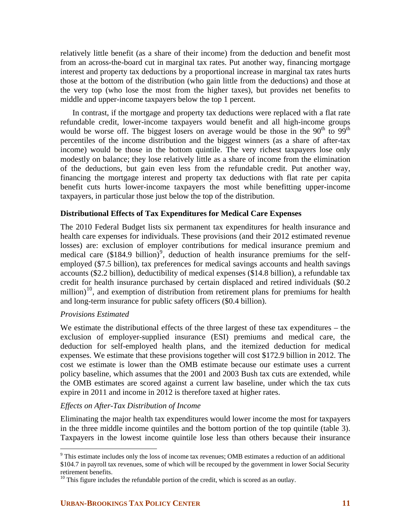relatively little benefit (as a share of their income) from the deduction and benefit most from an across-the-board cut in marginal tax rates. Put another way, financing mortgage interest and property tax deductions by a proportional increase in marginal tax rates hurts those at the bottom of the distribution (who gain little from the deductions) and those at the very top (who lose the most from the higher taxes), but provides net benefits to middle and upper-income taxpayers below the top 1 percent.

In contrast, if the mortgage and property tax deductions were replaced with a flat rate refundable credit, lower-income taxpayers would benefit and all high-income groups would be worse off. The biggest losers on average would be those in the  $90<sup>th</sup>$  to  $99<sup>th</sup>$ percentiles of the income distribution and the biggest winners (as a share of after-tax income) would be those in the bottom quintile. The very richest taxpayers lose only modestly on balance; they lose relatively little as a share of income from the elimination of the deductions, but gain even less from the refundable credit. Put another way, financing the mortgage interest and property tax deductions with flat rate per capita benefit cuts hurts lower-income taxpayers the most while benefitting upper-income taxpayers, in particular those just below the top of the distribution.

## **Distributional Effects of Tax Expenditures for Medical Care Expenses**

The 2010 Federal Budget lists six permanent tax expenditures for health insurance and health care expenses for individuals. These provisions (and their 2012 estimated revenue losses) are: exclusion of employer contributions for medical insurance premium and medical care  $(\$184.9 \text{ billion})^9$  $(\$184.9 \text{ billion})^9$  $(\$184.9 \text{ billion})^9$ , deduction of health insurance premiums for the selfemployed (\$7.5 billion), tax preferences for medical savings accounts and health savings accounts (\$2.2 billion), deductibility of medical expenses (\$14.8 billion), a refundable tax credit for health insurance purchased by certain displaced and retired individuals (\$0.2 million)<sup>[10](#page-11-1)</sup>, and exemption of distribution from retirement plans for premiums for health and long-term insurance for public safety officers (\$0.4 billion).

## *Provisions Estimated*

 $\overline{a}$ 

We estimate the distributional effects of the three largest of these tax expenditures – the exclusion of employer-supplied insurance (ESI) premiums and medical care, the deduction for self-employed health plans, and the itemized deduction for medical expenses. We estimate that these provisions together will cost \$172.9 billion in 2012. The cost we estimate is lower than the OMB estimate because our estimate uses a current policy baseline, which assumes that the 2001 and 2003 Bush tax cuts are extended, while the OMB estimates are scored against a current law baseline, under which the tax cuts expire in 2011 and income in 2012 is therefore taxed at higher rates.

## *Effects on After-Tax Distribution of Income*

Eliminating the major health tax expenditures would lower income the most for taxpayers in the three middle income quintiles and the bottom portion of the top quintile (table 3). Taxpayers in the lowest income quintile lose less than others because their insurance

<span id="page-11-0"></span> $9^9$  This estimate includes only the loss of income tax revenues; OMB estimates a reduction of an additional \$104.7 in payroll tax revenues, some of which will be recouped by the government in lower Social Security retirement benefits.

<span id="page-11-1"></span> $10$  This figure includes the refundable portion of the credit, which is scored as an outlay.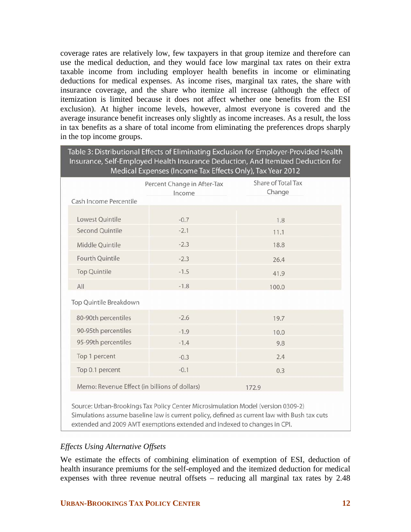coverage rates are relatively low, few taxpayers in that group itemize and therefore can use the medical deduction, and they would face low marginal tax rates on their extra taxable income from including employer health benefits in income or eliminating deductions for medical expenses. As income rises, marginal tax rates, the share with insurance coverage, and the share who itemize all increase (although the effect of itemization is limited because it does not affect whether one benefits from the ESI exclusion). At higher income levels, however, almost everyone is covered and the average insurance benefit increases only slightly as income increases. As a result, the loss in tax benefits as a share of total income from eliminating the preferences drops sharply in the top income groups.

|                                               | Medical Expenses (Income Tax Effects Only), Tax Year 2012 | Table 3: Distributional Effects of Eliminating Exclusion for Employer-Provided Health<br>Insurance, Self-Employed Health Insurance Deduction, And Itemized Deduction for |
|-----------------------------------------------|-----------------------------------------------------------|--------------------------------------------------------------------------------------------------------------------------------------------------------------------------|
|                                               | Percent Change in After-Tax                               | Share of Total Tax                                                                                                                                                       |
| Cash Income Percentile                        | Income                                                    | Change                                                                                                                                                                   |
| Lowest Quintile                               | $-0.7$                                                    | 1.8                                                                                                                                                                      |
| <b>Second Quintile</b>                        | $-2.1$                                                    | 11.1                                                                                                                                                                     |
| Middle Quintile                               | $-2.3$                                                    | 18.8                                                                                                                                                                     |
| Fourth Quintile                               | $-2.3$                                                    | 26.4                                                                                                                                                                     |
| <b>Top Quintile</b>                           | $-1.5$                                                    | 41.9                                                                                                                                                                     |
| All                                           | $-1.8$                                                    | 100.0                                                                                                                                                                    |
| Top Quintile Breakdown                        |                                                           |                                                                                                                                                                          |
| 80-90th percentiles                           | $-2.6$                                                    | 19.7                                                                                                                                                                     |
| 90-95th percentiles                           | $-1.9$                                                    | 10.0                                                                                                                                                                     |
| 95-99th percentiles                           | $-1.4$                                                    | 9.8                                                                                                                                                                      |
| Top 1 percent                                 | $-0.3$                                                    | 2.4                                                                                                                                                                      |
| Top 0.1 percent                               | $-0.1$                                                    | 0.3                                                                                                                                                                      |
| Memo: Revenue Effect (in billions of dollars) |                                                           | 172.9                                                                                                                                                                    |

Simulations assume baseline law is current policy, defined as current law with Bush tax cuts extended and 2009 AMT exemptions extended and indexed to changes in CPI.

## *Effects Using Alternative Offsets*

We estimate the effects of combining elimination of exemption of ESI, deduction of health insurance premiums for the self-employed and the itemized deduction for medical expenses with three revenue neutral offsets – reducing all marginal tax rates by 2.48

## **URBAN-BROOKINGS TAX POLICY CENTER 12 12**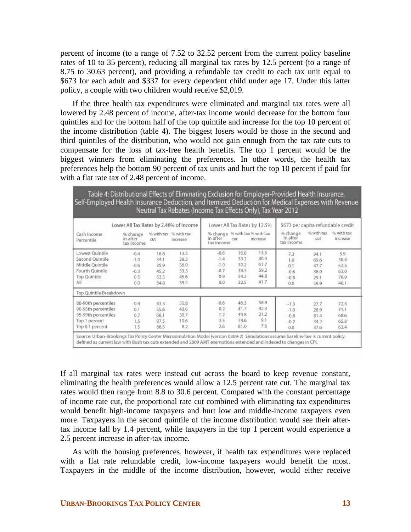percent of income (to a range of 7.52 to 32.52 percent from the current policy baseline rates of 10 to 35 percent), reducing all marginal tax rates by 12.5 percent (to a range of 8.75 to 30.63 percent), and providing a refundable tax credit to each tax unit equal to \$673 for each adult and \$337 for every dependent child under age 17. Under this latter policy, a couple with two children would receive \$2,019.

If the three health tax expenditures were eliminated and marginal tax rates were all lowered by 2.48 percent of income, after-tax income would decrease for the bottom four quintiles and for the bottom half of the top quintile and increase for the top 10 percent of the income distribution (table 4). The biggest losers would be those in the second and third quintiles of the distribution, who would not gain enough from the tax rate cuts to compensate for the loss of tax-free health benefits. The top 1 percent would be the biggest winners from eliminating the preferences. In other words, the health tax preferences help the bottom 90 percent of tax units and hurt the top 10 percent if paid for with a flat rate tax of 2.48 percent of income.

| Self-Employed Health Insurance Deduction, and Itemized Deduction for Medical Expenses with Revenue    |                                                    |                                              | Table 4: Distributional Effects of Eliminating Exclusion for Employer-Provided Health Insurance,<br>Neutral Tax Rebates (Income Tax Effects Only), Tax Year 2012 |                                                          |                                              |                                              |                                             |                                              |                                             |
|-------------------------------------------------------------------------------------------------------|----------------------------------------------------|----------------------------------------------|------------------------------------------------------------------------------------------------------------------------------------------------------------------|----------------------------------------------------------|----------------------------------------------|----------------------------------------------|---------------------------------------------|----------------------------------------------|---------------------------------------------|
|                                                                                                       | Lower All Tax Rates by 2.48% of Income             |                                              |                                                                                                                                                                  |                                                          |                                              | Lower All Tax Rates by 12.5%                 |                                             |                                              | \$673 per capita refundable credit          |
| Cash Income<br>Percentile                                                                             | % change<br>in after<br>tax income                 | cut                                          | % with tax % with tax<br>increase                                                                                                                                | % change % with tax % with tax<br>in after<br>tax income | cut                                          | increase                                     | % change<br>in after<br>tax income          | % with tax<br>cut                            | % with tax<br>increase                      |
| Lowest Quintile<br>Second Quintile<br>Middle Ouintile<br>Fourth Quintile<br>Top Quintile<br>All       | $-0.4$<br>$-1.0$<br>$-0.6$<br>$-0.3$<br>0.5<br>0.0 | 16.8<br>34.1<br>35.9<br>45.2<br>53.5<br>34.8 | 13.5<br>39.3<br>56.0<br>53.3<br>45.6<br>39.4                                                                                                                     | $-0.6$<br>$-1.4$<br>$-1.0$<br>$-0.7$<br>0.9<br>0.0       | 16.6<br>33.2<br>30.2<br>39.3<br>54.2<br>32.5 | 13.5<br>40.3<br>61.7<br>59.2<br>44.8<br>41.7 | 7.3<br>16<br>0.1<br>$-0.6$<br>$-0.8$<br>0.0 | 94.1<br>69.6<br>47.7<br>38.0<br>29.1<br>59.9 | 5.9<br>30.4<br>52.3<br>62.0<br>70.9<br>40.1 |
| Top Quintile Breakdown                                                                                |                                                    |                                              |                                                                                                                                                                  |                                                          |                                              |                                              |                                             |                                              |                                             |
| 80-90th percentiles<br>90-95th percentiles<br>95-99th percentiles<br>Top 1 percent<br>Top 0.1 percent | $-0.4$<br>0.1<br>0.7<br>1.5<br>1.5                 | 43.3<br>55.6<br>68.1<br>87.5<br>88.5         | 55.8<br>43.6<br>30.7<br>10.6<br>8.2                                                                                                                              | $-0.6$<br>0.2<br>1.2<br>2.5<br>2.6                       | 46.3<br>41.7<br>49.8<br>74.6<br>81.0         | 58.9<br>42.3<br>21.2<br>9.1<br>7.6           | $-1.3$<br>$-1.0$<br>$-0.8$<br>$-0.2$<br>0.0 | 27.7<br>28.9<br>31.4<br>34.2<br>37.6         | 72.3<br>71.1<br>68.6<br>65.8<br>62.4        |

defined as current law with Bush tax cuts extended and 2009 AMT exemptions extended and indexed to changes in CPI.

If all marginal tax rates were instead cut across the board to keep revenue constant, eliminating the health preferences would allow a 12.5 percent rate cut. The marginal tax rates would then range from 8.8 to 30.6 percent. Compared with the constant percentage of income rate cut, the proportional rate cut combined with eliminating tax expenditures would benefit high-income taxpayers and hurt low and middle-income taxpayers even more. Taxpayers in the second quintile of the income distribution would see their aftertax income fall by 1.4 percent, while taxpayers in the top 1 percent would experience a 2.5 percent increase in after-tax income.

 As with the housing preferences, however, if health tax expenditures were replaced with a flat rate refundable credit, low-income taxpayers would benefit the most. Taxpayers in the middle of the income distribution, however, would either receive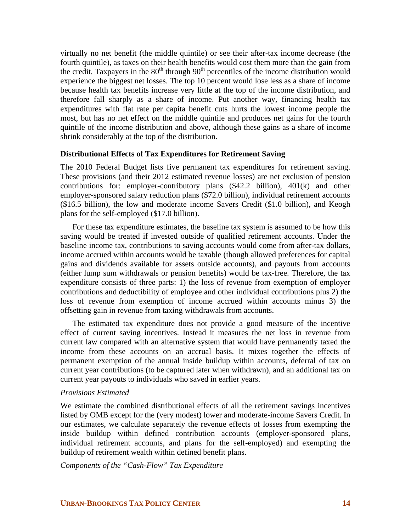virtually no net benefit (the middle quintile) or see their after-tax income decrease (the fourth quintile), as taxes on their health benefits would cost them more than the gain from the credit. Taxpayers in the  $80<sup>th</sup>$  through  $90<sup>th</sup>$  percentiles of the income distribution would experience the biggest net losses. The top 10 percent would lose less as a share of income because health tax benefits increase very little at the top of the income distribution, and therefore fall sharply as a share of income. Put another way, financing health tax expenditures with flat rate per capita benefit cuts hurts the lowest income people the most, but has no net effect on the middle quintile and produces net gains for the fourth quintile of the income distribution and above, although these gains as a share of income shrink considerably at the top of the distribution.

## **Distributional Effects of Tax Expenditures for Retirement Saving**

The 2010 Federal Budget lists five permanent tax expenditures for retirement saving. These provisions (and their 2012 estimated revenue losses) are net exclusion of pension contributions for: employer-contributory plans (\$42.2 billion), 401(k) and other employer-sponsored salary reduction plans (\$72.0 billion), individual retirement accounts (\$16.5 billion), the low and moderate income Savers Credit (\$1.0 billion), and Keogh plans for the self-employed (\$17.0 billion).

For these tax expenditure estimates, the baseline tax system is assumed to be how this saving would be treated if invested outside of qualified retirement accounts. Under the baseline income tax, contributions to saving accounts would come from after-tax dollars, income accrued within accounts would be taxable (though allowed preferences for capital gains and dividends available for assets outside accounts), and payouts from accounts (either lump sum withdrawals or pension benefits) would be tax-free. Therefore, the tax expenditure consists of three parts: 1) the loss of revenue from exemption of employer contributions and deductibility of employee and other individual contributions plus 2) the loss of revenue from exemption of income accrued within accounts minus 3) the offsetting gain in revenue from taxing withdrawals from accounts.

The estimated tax expenditure does not provide a good measure of the incentive effect of current saving incentives. Instead it measures the net loss in revenue from current law compared with an alternative system that would have permanently taxed the income from these accounts on an accrual basis. It mixes together the effects of permanent exemption of the annual inside buildup within accounts, deferral of tax on current year contributions (to be captured later when withdrawn), and an additional tax on current year payouts to individuals who saved in earlier years.

#### *Provisions Estimated*

We estimate the combined distributional effects of all the retirement savings incentives listed by OMB except for the (very modest) lower and moderate-income Savers Credit. In our estimates, we calculate separately the revenue effects of losses from exempting the inside buildup within defined contribution accounts (employer-sponsored plans, individual retirement accounts, and plans for the self-employed) and exempting the buildup of retirement wealth within defined benefit plans.

*Components of the "Cash-Flow" Tax Expenditure*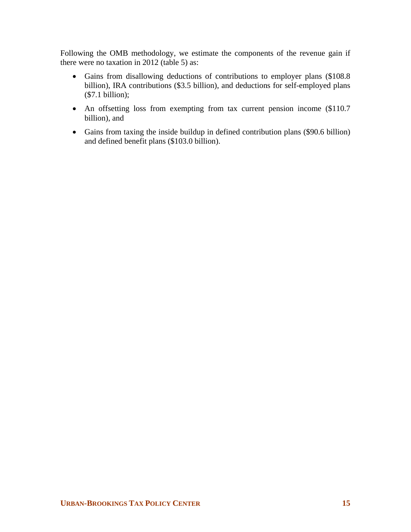Following the OMB methodology, we estimate the components of the revenue gain if there were no taxation in 2012 (table 5) as:

- Gains from disallowing deductions of contributions to employer plans (\$108.8 billion), IRA contributions (\$3.5 billion), and deductions for self-employed plans (\$7.1 billion);
- An offsetting loss from exempting from tax current pension income (\$110.7) billion), and
- Gains from taxing the inside buildup in defined contribution plans (\$90.6 billion) and defined benefit plans (\$103.0 billion).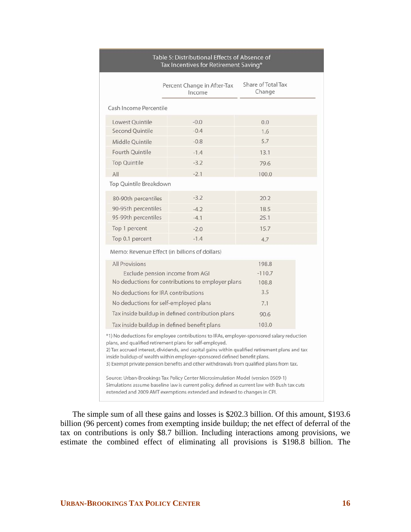|                                                                                                                                                                                                                                                                                                                                                                                                                                  | Percent Change in After-Tax<br>Income             | Share of Total Tax<br>Change |  |  |  |  |  |  |
|----------------------------------------------------------------------------------------------------------------------------------------------------------------------------------------------------------------------------------------------------------------------------------------------------------------------------------------------------------------------------------------------------------------------------------|---------------------------------------------------|------------------------------|--|--|--|--|--|--|
| Cash Income Percentile                                                                                                                                                                                                                                                                                                                                                                                                           |                                                   |                              |  |  |  |  |  |  |
| Lowest Ouintile                                                                                                                                                                                                                                                                                                                                                                                                                  | $-0.0$                                            | 0.0                          |  |  |  |  |  |  |
| Second Ouintile                                                                                                                                                                                                                                                                                                                                                                                                                  | $-0.4$                                            | 1.6                          |  |  |  |  |  |  |
| Middle Quintile                                                                                                                                                                                                                                                                                                                                                                                                                  | $-0.8$                                            | 5.7                          |  |  |  |  |  |  |
| <b>Fourth Ouintile</b>                                                                                                                                                                                                                                                                                                                                                                                                           | $-1.4$                                            | 13.1                         |  |  |  |  |  |  |
| <b>Top Quintile</b>                                                                                                                                                                                                                                                                                                                                                                                                              | $-3.2$                                            | 79.6                         |  |  |  |  |  |  |
| All                                                                                                                                                                                                                                                                                                                                                                                                                              | $-2.1$                                            | 100.0                        |  |  |  |  |  |  |
| Top Quintile Breakdown                                                                                                                                                                                                                                                                                                                                                                                                           |                                                   |                              |  |  |  |  |  |  |
| 80-90th percentiles                                                                                                                                                                                                                                                                                                                                                                                                              | $-3.2$                                            | 20.2                         |  |  |  |  |  |  |
| 90-95th percentiles                                                                                                                                                                                                                                                                                                                                                                                                              | $-4.2$                                            | 18.5                         |  |  |  |  |  |  |
| 95-99th percentiles                                                                                                                                                                                                                                                                                                                                                                                                              | $-4.1$                                            | 25.1                         |  |  |  |  |  |  |
| Top 1 percent                                                                                                                                                                                                                                                                                                                                                                                                                    | $-2.0$                                            | 15.7                         |  |  |  |  |  |  |
| Top 0.1 percent                                                                                                                                                                                                                                                                                                                                                                                                                  | $-1.4$                                            | 4.7                          |  |  |  |  |  |  |
|                                                                                                                                                                                                                                                                                                                                                                                                                                  | Memo: Revenue Effect (in billions of dollars)     |                              |  |  |  |  |  |  |
| <b>All Provisions</b>                                                                                                                                                                                                                                                                                                                                                                                                            |                                                   | 198.8                        |  |  |  |  |  |  |
|                                                                                                                                                                                                                                                                                                                                                                                                                                  | Exclude pension income from AGI                   | $-110.7$                     |  |  |  |  |  |  |
|                                                                                                                                                                                                                                                                                                                                                                                                                                  | No deductions for contributions to employer plans | 108.8                        |  |  |  |  |  |  |
| No deductions for IRA contributions                                                                                                                                                                                                                                                                                                                                                                                              |                                                   | 3.5                          |  |  |  |  |  |  |
| No deductions for self-employed plans                                                                                                                                                                                                                                                                                                                                                                                            |                                                   | 7.1                          |  |  |  |  |  |  |
|                                                                                                                                                                                                                                                                                                                                                                                                                                  | Tax inside buildup in defined contribution plans  | 90.6                         |  |  |  |  |  |  |
|                                                                                                                                                                                                                                                                                                                                                                                                                                  | Tax inside buildup in defined benefit plans       | 103.0                        |  |  |  |  |  |  |
| *1) No deductions for employee contributions to IRAs, employer-sponsored salary reduction<br>plans, and qualified retirement plans for self-employed.<br>2) Tax accrued interest, dividends, and capital gains within qualified retirement plans and tax<br>inside buildup of wealth within employer-sponsored defined benefit plans.<br>3) Exempt private pension benefits and other withdrawals from qualified plans from tax. |                                                   |                              |  |  |  |  |  |  |
| Source: Urban-Brookings Tax Policy Center Microsimulation Model (version 0509-1)<br>Simulations assume baseline law is current policy, defined as current law with Bush tax cuts<br>extended and 2009 AMT exemptions extended and indexed to changes in CPI.                                                                                                                                                                     |                                                   |                              |  |  |  |  |  |  |

#### Table 5: Distributional Effects of Absence of Tax Incentives for Retirement Saving\*

The simple sum of all these gains and losses is \$202.3 billion. Of this amount, \$193.6 billion (96 percent) comes from exempting inside buildup; the net effect of deferral of the tax on contributions is only \$8.7 billion. Including interactions among provisions, we estimate the combined effect of eliminating all provisions is \$198.8 billion. The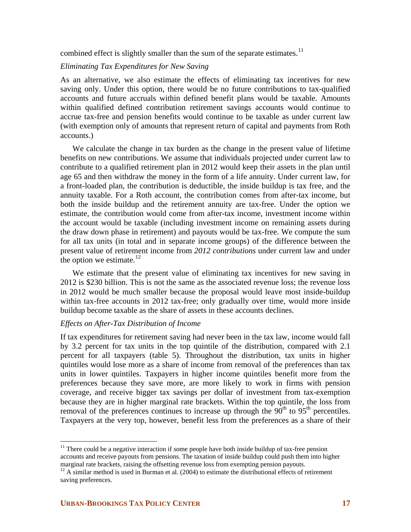combined effect is slightly smaller than the sum of the separate estimates. $11$ 

## *Eliminating Tax Expenditures for New Saving*

As an alternative, we also estimate the effects of eliminating tax incentives for new saving only. Under this option, there would be no future contributions to tax-qualified accounts and future accruals within defined benefit plans would be taxable. Amounts within qualified defined contribution retirement savings accounts would continue to accrue tax-free and pension benefits would continue to be taxable as under current law (with exemption only of amounts that represent return of capital and payments from Roth accounts.)

We calculate the change in tax burden as the change in the present value of lifetime benefits on new contributions. We assume that individuals projected under current law to contribute to a qualified retirement plan in 2012 would keep their assets in the plan until age 65 and then withdraw the money in the form of a life annuity. Under current law, for a front-loaded plan, the contribution is deductible, the inside buildup is tax free, and the annuity taxable. For a Roth account, the contribution comes from after-tax income, but both the inside buildup and the retirement annuity are tax-free. Under the option we estimate, the contribution would come from after-tax income, investment income within the account would be taxable (including investment income on remaining assets during the draw down phase in retirement) and payouts would be tax-free. We compute the sum for all tax units (in total and in separate income groups) of the difference between the present value of retirement income from *2012 contributions* under current law and under the option we estimate. $^{12}$  $^{12}$  $^{12}$ 

We estimate that the present value of eliminating tax incentives for new saving in 2012 is \$230 billion. This is not the same as the associated revenue loss; the revenue loss in 2012 would be much smaller because the proposal would leave most inside-buildup within tax-free accounts in 2012 tax-free; only gradually over time, would more inside buildup become taxable as the share of assets in these accounts declines.

## *Effects on After-Tax Distribution of Income*

If tax expenditures for retirement saving had never been in the tax law, income would fall by 3.2 percent for tax units in the top quintile of the distribution, compared with 2.1 percent for all taxpayers (table 5). Throughout the distribution, tax units in higher quintiles would lose more as a share of income from removal of the preferences than tax units in lower quintiles. Taxpayers in higher income quintiles benefit more from the preferences because they save more, are more likely to work in firms with pension coverage, and receive bigger tax savings per dollar of investment from tax-exemption because they are in higher marginal rate brackets. Within the top quintile, the loss from removal of the preferences continues to increase up through the  $90<sup>th</sup>$  to  $95<sup>th</sup>$  percentiles. Taxpayers at the very top, however, benefit less from the preferences as a share of their

 $\overline{a}$ 

<span id="page-17-0"></span> $11$  There could be a negative interaction if some people have both inside buildup of tax-free pension accounts and receive payouts from pensions. The taxation of inside buildup could push them into higher marginal rate brackets, raising the offsetting revenue loss from exempting pension payouts.

<span id="page-17-1"></span> $12$  A similar method is used in Burman et al. (2004) to estimate the distributional effects of retirement saving preferences.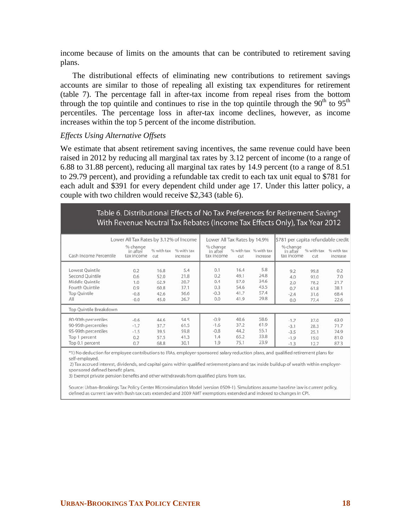income because of limits on the amounts that can be contributed to retirement saving plans.

The distributional effects of eliminating new contributions to retirement savings accounts are similar to those of repealing all existing tax expenditures for retirement (table 7). The percentage fall in after-tax income from repeal rises from the bottom through the top quintile and continues to rise in the top quintile through the  $90<sup>th</sup>$  to  $95<sup>th</sup>$ percentiles. The percentage loss in after-tax income declines, however, as income increases within the top 5 percent of the income distribution.

### *Effects Using Alternative Offsets*

We estimate that absent retirement saving incentives, the same revenue could have been raised in 2012 by reducing all marginal tax rates by 3.12 percent of income (to a range of 6.88 to 31.88 percent), reducing all marginal tax rates by 14.9 percent (to a range of 8.51 to 29.79 percent), and providing a refundable tax credit to each tax unit equal to \$781 for each adult and \$391 for every dependent child under age 17. Under this latter policy, a couple with two children would receive \$2,343 (table 6).

|                                                                                                        |                                              |                                              |                                             |                                           |                                              |                                             | Table 6. Distributional Effects of No Tax Preferences for Retirement Saving*<br>With Revenue Neutral Tax Rebates (Income Tax Effects Only), Tax Year 2012 |                                              |                                            |
|--------------------------------------------------------------------------------------------------------|----------------------------------------------|----------------------------------------------|---------------------------------------------|-------------------------------------------|----------------------------------------------|---------------------------------------------|-----------------------------------------------------------------------------------------------------------------------------------------------------------|----------------------------------------------|--------------------------------------------|
|                                                                                                        | Lower All Tax Rates by 3.12% of Income       |                                              |                                             | Lower All Tax Rates by 14.9%              |                                              |                                             | \$781 per capita refundable credit                                                                                                                        |                                              |                                            |
| Cash Income Percentile                                                                                 | % change<br>in after<br>tax income           | % with tax<br>cut                            | % with tax<br>increase                      | % change<br>in after<br>tax income        | cut.                                         | % with tax % with tax<br>increase           | % change<br>in after<br>tax income                                                                                                                        | % with tax<br>cut                            | % with tax<br>increase                     |
| Lowest Quintile<br>Second Quintile<br>Middle Quintile<br>Fourth Quintile<br><b>Top Quintile</b><br>All | 0.2<br>0.6<br>1.0<br>0.9<br>$-0.8$<br>$-0.0$ | 16.8<br>52.0<br>62.9<br>60.8<br>42.6<br>45.0 | 5.4<br>21.8<br>28.7<br>37.1<br>56.6<br>26.7 | 0.1<br>0.2<br>0.4<br>0.3<br>$-0.3$<br>0.0 | 16.4<br>49.1<br>57.0<br>54.6<br>41.7<br>41.9 | 5.8<br>24.8<br>34.6<br>43.5<br>57.4<br>29.8 | 9.2<br>4.0<br>2.0<br>0.7<br>$-2.4$<br>0.0                                                                                                                 | 99.8<br>93.0<br>78.2<br>61.8<br>31.6<br>77.4 | 0.2<br>7.0<br>21.7<br>38.1<br>68.4<br>22.6 |
| Top Quintile Breakdown                                                                                 |                                              |                                              |                                             |                                           |                                              |                                             |                                                                                                                                                           |                                              |                                            |
| 80-90th percentiles<br>90-95th percentiles<br>95-99th percentiles<br>Top 1 percent<br>Top 0.1 percent  | $-0.6$<br>$-1.7$<br>$-1.5$<br>0.2<br>0.7     | 44.6<br>37.7<br>39.5<br>57.5<br>68.8         | 54.5<br>61.5<br>59.8<br>41.3<br>30.1        | $-0.9$<br>$-1.6$<br>$-0.8$<br>1.4<br>1.9  | 40.6<br>37.2<br>44.2<br>65.2<br>75.1         | 58.6<br>61.9<br>55.1<br>33.8<br>23.9        | $-1.7$<br>$-3.1$<br>$-3.5$<br>$-1.9$<br>$-1.3$                                                                                                            | 37.0<br>28.3<br>25.1<br>19.0<br>12.7         | 63.0<br>71.7<br>74.9<br>81.0<br>87.3       |

\*1) No deduction for employee contributions to IRAs, employer-sponsored salary reduction plans, and qualified retirement plans for self-employed.

2) Tax accrued interest, dividends, and capital gains within gualified retirement plans and tax inside buildup of wealth within employersponsored defined benefit plans.

3) Exempt private pension benefits and other withdrawals from qualified plans from tax.

Source: Urban-Brookings Tax Policy Center Microsimulation Model (version 0509-1). Simulations assume baseline law is current policy, defined as current law with Bush tax cuts extended and 2009 AMT exemptions extended and indexed to changes in CPI.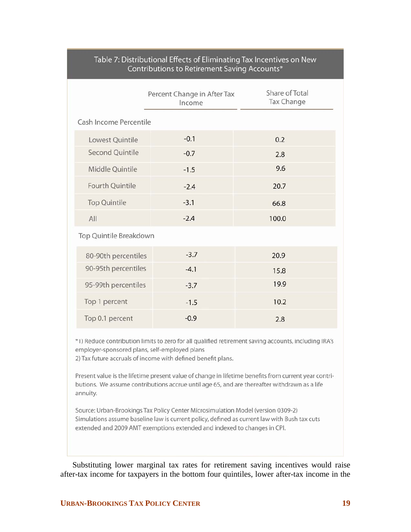|                        | Percent Change in After Tax<br>Income | Share of Total<br>Tax Change |
|------------------------|---------------------------------------|------------------------------|
| Cash Income Percentile |                                       |                              |
| Lowest Quintile        | $-0.1$                                | 0.2                          |
| <b>Second Quintile</b> | $-0.7$                                | 2.8                          |
| Middle Quintile        | $-1.5$                                | 9.6                          |
| Fourth Quintile        | $-2.4$                                | 20.7                         |
| <b>Top Quintile</b>    | $-3.1$                                | 66.8                         |
| All                    | $-2.4$                                | 100.0                        |
| Top Quintile Breakdown |                                       |                              |
| 80-90th percentiles    | $-3.7$                                | 20.9                         |
| 90-95th percentiles    | $-4.1$                                | 15.8                         |
| 95-99th percentiles    | $-3.7$                                | 19.9                         |
| Top 1 percent          | $-1.5$                                | 10.2                         |
| Top 0.1 percent        | $-0.9$                                | 2.8                          |

## Table 7: Distributional Effects of Eliminating Tax Incentives on New Contributions to Retirement Saving Accounts\*

\*1) Reduce contribution limits to zero for all qualified retirement saving accounts, including IRA's employer-sponsored plans, self-employed plans

2) Tax future accruals of income with defined benefit plans.

Present value is the lifetime present value of change in lifetime benefits from current year contributions. We assume contributions accrue until age 65, and are thereafter withdrawn as a life annuity.

Source: Urban-Brookings Tax Policy Center Microsimulation Model (version 0309-2) Simulations assume baseline law is current policy, defined as current law with Bush tax cuts extended and 2009 AMT exemptions extended and indexed to changes in CPI.

Substituting lower marginal tax rates for retirement saving incentives would raise after-tax income for taxpayers in the bottom four quintiles, lower after-tax income in the

## **URBAN-BROOKINGS TAX POLICY CENTER 19**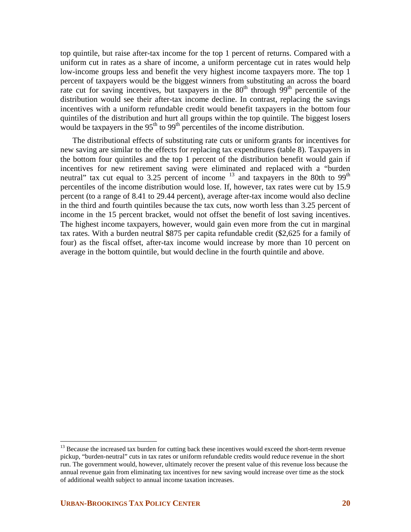top quintile, but raise after-tax income for the top 1 percent of returns. Compared with a uniform cut in rates as a share of income, a uniform percentage cut in rates would help low-income groups less and benefit the very highest income taxpayers more. The top 1 percent of taxpayers would be the biggest winners from substituting an across the board rate cut for saving incentives, but taxpayers in the  $80<sup>th</sup>$  through  $99<sup>th</sup>$  percentile of the distribution would see their after-tax income decline. In contrast, replacing the savings incentives with a uniform refundable credit would benefit taxpayers in the bottom four quintiles of the distribution and hurt all groups within the top quintile. The biggest losers would be taxpayers in the  $95<sup>th</sup>$  to  $99<sup>th</sup>$  percentiles of the income distribution.

The distributional effects of substituting rate cuts or uniform grants for incentives for new saving are similar to the effects for replacing tax expenditures (table 8). Taxpayers in the bottom four quintiles and the top 1 percent of the distribution benefit would gain if incentives for new retirement saving were eliminated and replaced with a "burden neutral" tax cut equal to 3.25 percent of income  $^{13}$  $^{13}$  $^{13}$  and taxpayers in the 80th to 99<sup>th</sup> percentiles of the income distribution would lose. If, however, tax rates were cut by 15.9 percent (to a range of 8.41 to 29.44 percent), average after-tax income would also decline in the third and fourth quintiles because the tax cuts, now worth less than 3.25 percent of income in the 15 percent bracket, would not offset the benefit of lost saving incentives. The highest income taxpayers, however, would gain even more from the cut in marginal tax rates. With a burden neutral \$875 per capita refundable credit (\$2,625 for a family of four) as the fiscal offset, after-tax income would increase by more than 10 percent on average in the bottom quintile, but would decline in the fourth quintile and above.

1

<span id="page-20-0"></span><sup>&</sup>lt;sup>13</sup> Because the increased tax burden for cutting back these incentives would exceed the short-term revenue pickup, "burden-neutral" cuts in tax rates or uniform refundable credits would reduce revenue in the short run. The government would, however, ultimately recover the present value of this revenue loss because the annual revenue gain from eliminating tax incentives for new saving would increase over time as the stock of additional wealth subject to annual income taxation increases.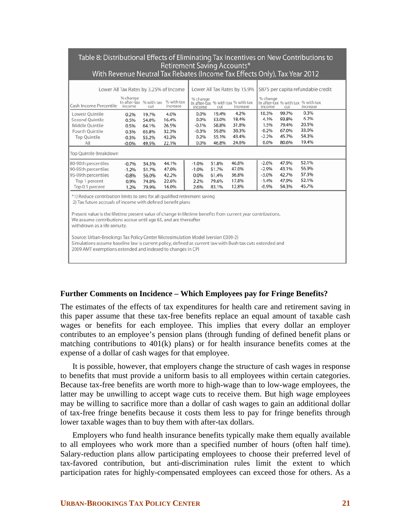|                                                                                                                                                                                                                                                                                                                                                                                                                                                 |                                    |                   | Retirement Saving Accounts*<br>Lower All Tax Rates by 3.25% of Income |                    |       | With Revenue Neutral Tax Rebates (Income Tax Effects Only), Tax Year 2012<br>Lower All Tax Rates by 15.9% |                    |       | \$875 per capita refundable credit             |
|-------------------------------------------------------------------------------------------------------------------------------------------------------------------------------------------------------------------------------------------------------------------------------------------------------------------------------------------------------------------------------------------------------------------------------------------------|------------------------------------|-------------------|-----------------------------------------------------------------------|--------------------|-------|-----------------------------------------------------------------------------------------------------------|--------------------|-------|------------------------------------------------|
| Cash Income Percentile                                                                                                                                                                                                                                                                                                                                                                                                                          | % change<br>In after-tax<br>income | % with tax<br>cut | % with tax<br>increase                                                | % change<br>income | cut   | In after-tax % with tax % with tax<br>increase                                                            | % change<br>income | cut   | In after-tax % with tax % with tax<br>increase |
| Lowest Quintile                                                                                                                                                                                                                                                                                                                                                                                                                                 | 0.2%                               | 19.7%             | 4.0%                                                                  | 0.0%               | 19.4% | 4.2%                                                                                                      | 10.3%              | 99.7% | 0.3%                                           |
| Second Quintile                                                                                                                                                                                                                                                                                                                                                                                                                                 | 0.5%                               | 54.0%             | 16.4%                                                                 | 0.0%               | 53.0% | 18.4%                                                                                                     | 4.1%               | 93.8% | 6.2%                                           |
| Middle Ouintile                                                                                                                                                                                                                                                                                                                                                                                                                                 | 0.5%                               | 64.1%             | 26.5%                                                                 | $-0.1%$            | 58.8% | 31.8%                                                                                                     | 1.5%               | 79.4% | 20.5%                                          |
| Fourth Ouintile                                                                                                                                                                                                                                                                                                                                                                                                                                 | 0.3%                               | 65.8%             | 32.3%                                                                 | $-0.3%$            | 59.8% | 38.3%                                                                                                     | $-0.2%$            | 67.0% | 33.0%                                          |
| <b>Top Quintile</b>                                                                                                                                                                                                                                                                                                                                                                                                                             | $-0.3%$                            | 55.2%             | 43.3%                                                                 | 0.2%               | 55.1% | 43.4%                                                                                                     | $-2.2%$            | 45.7% | 54.3%                                          |
| All                                                                                                                                                                                                                                                                                                                                                                                                                                             | $-0.0%$                            | 49.5%             | 22.1%                                                                 | 0.0%               | 46.8% | 24.6%                                                                                                     | 0.0%               | 80.6% | 19.4%                                          |
| Top Quintile Breakdown                                                                                                                                                                                                                                                                                                                                                                                                                          |                                    |                   |                                                                       |                    |       |                                                                                                           |                    |       |                                                |
| 80-90th percentiles                                                                                                                                                                                                                                                                                                                                                                                                                             | $-0.7%$                            | 54.5%             | 44.1%                                                                 | $-1.0%$            | 51.8% | 46.8%                                                                                                     | $-2.0%$            | 47.9% | 52.1%                                          |
| 90-95th percentiles                                                                                                                                                                                                                                                                                                                                                                                                                             | $-1.2%$                            | 51.7%             | 47.0%                                                                 | $-1.0%$            | 51.7% | 47.0%                                                                                                     | $-2.9%$            | 43.1% | 56.9%                                          |
| 95-99th percentiles                                                                                                                                                                                                                                                                                                                                                                                                                             | $-0.8%$                            | 56.0%             | 42.2%                                                                 | 0.0%               | 61.4% | 36.8%                                                                                                     | $-3.0%$            | 42.7% | 57.3%                                          |
| Top 1 percent                                                                                                                                                                                                                                                                                                                                                                                                                                   | 0.9%                               | 74.8%             | 22.6%                                                                 | 2.2%               | 79.6% | 17.8%                                                                                                     | $-1.4%$            | 47.9% | 52.1%                                          |
| Top 0.1 percent                                                                                                                                                                                                                                                                                                                                                                                                                                 | 1.2%                               | 79.9%             | 16.0%                                                                 | 2.6%               | 83.1% | 12.8%                                                                                                     | $-0.9%$            | 54.3% | 45.7%                                          |
| *1) Reduce contribution limits to zero for all qualified retirement saving<br>2) Tax future accruals of income with defined benefit plans<br>Present value is the lifetime present value of change in lifetime benefits from current year contributions.<br>We assume contributions accrue until age 65, and are thereafter<br>withdrawn as a life annuity.<br>Source: Urban-Brookings Tax Policy Center Microsimulation Model (version 0309-2) |                                    |                   |                                                                       |                    |       |                                                                                                           |                    |       |                                                |

Simulations assume baseline law is current policy, defined as current law with Bush tax cuts extended and 2009 AMT exemptions extended and indexed to changes in CPI

## **Further Comments on Incidence – Which Employees pay for Fringe Benefits?**

The estimates of the effects of tax expenditures for health care and retirement saving in this paper assume that these tax-free benefits replace an equal amount of taxable cash wages or benefits for each employee. This implies that every dollar an employer contributes to an employee's pension plans (through funding of defined benefit plans or matching contributions to 401(k) plans) or for health insurance benefits comes at the expense of a dollar of cash wages for that employee.

It is possible, however, that employers change the structure of cash wages in response to benefits that must provide a uniform basis to all employees within certain categories. Because tax-free benefits are worth more to high-wage than to low-wage employees, the latter may be unwilling to accept wage cuts to receive them. But high wage employees may be willing to sacrifice more than a dollar of cash wages to gain an additional dollar of tax-free fringe benefits because it costs them less to pay for fringe benefits through lower taxable wages than to buy them with after-tax dollars.

Employers who fund health insurance benefits typically make them equally available to all employees who work more than a specified number of hours (often half time). Salary-reduction plans allow participating employees to choose their preferred level of tax-favored contribution, but anti-discrimination rules limit the extent to which participation rates for highly-compensated employees can exceed those for others. As a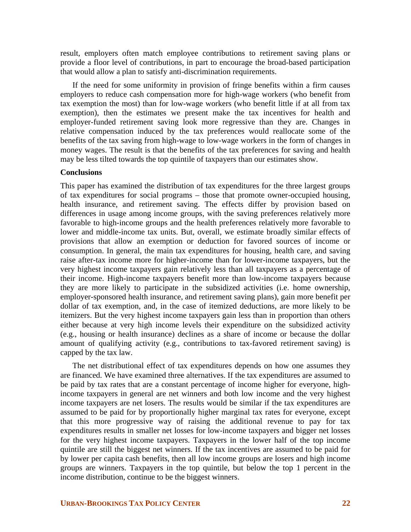result, employers often match employee contributions to retirement saving plans or provide a floor level of contributions, in part to encourage the broad-based participation that would allow a plan to satisfy anti-discrimination requirements.

If the need for some uniformity in provision of fringe benefits within a firm causes employers to reduce cash compensation more for high-wage workers (who benefit from tax exemption the most) than for low-wage workers (who benefit little if at all from tax exemption), then the estimates we present make the tax incentives for health and employer-funded retirement saving look more regressive than they are. Changes in relative compensation induced by the tax preferences would reallocate some of the benefits of the tax saving from high-wage to low-wage workers in the form of changes in money wages. The result is that the benefits of the tax preferences for saving and health may be less tilted towards the top quintile of taxpayers than our estimates show.

### **Conclusions**

This paper has examined the distribution of tax expenditures for the three largest groups of tax expenditures for social programs – those that promote owner-occupied housing, health insurance, and retirement saving. The effects differ by provision based on differences in usage among income groups, with the saving preferences relatively more favorable to high-income groups and the health preferences relatively more favorable to lower and middle-income tax units. But, overall, we estimate broadly similar effects of provisions that allow an exemption or deduction for favored sources of income or consumption. In general, the main tax expenditures for housing, health care, and saving raise after-tax income more for higher-income than for lower-income taxpayers, but the very highest income taxpayers gain relatively less than all taxpayers as a percentage of their income. High-income taxpayers benefit more than low-income taxpayers because they are more likely to participate in the subsidized activities (i.e. home ownership, employer-sponsored health insurance, and retirement saving plans), gain more benefit per dollar of tax exemption, and, in the case of itemized deductions, are more likely to be itemizers. But the very highest income taxpayers gain less than in proportion than others either because at very high income levels their expenditure on the subsidized activity (e.g., housing or health insurance) declines as a share of income or because the dollar amount of qualifying activity (e.g., contributions to tax-favored retirement saving) is capped by the tax law.

The net distributional effect of tax expenditures depends on how one assumes they are financed. We have examined three alternatives. If the tax expenditures are assumed to be paid by tax rates that are a constant percentage of income higher for everyone, highincome taxpayers in general are net winners and both low income and the very highest income taxpayers are net losers. The results would be similar if the tax expenditures are assumed to be paid for by proportionally higher marginal tax rates for everyone, except that this more progressive way of raising the additional revenue to pay for tax expenditures results in smaller net losses for low-income taxpayers and bigger net losses for the very highest income taxpayers. Taxpayers in the lower half of the top income quintile are still the biggest net winners. If the tax incentives are assumed to be paid for by lower per capita cash benefits, then all low income groups are losers and high income groups are winners. Taxpayers in the top quintile, but below the top 1 percent in the income distribution, continue to be the biggest winners.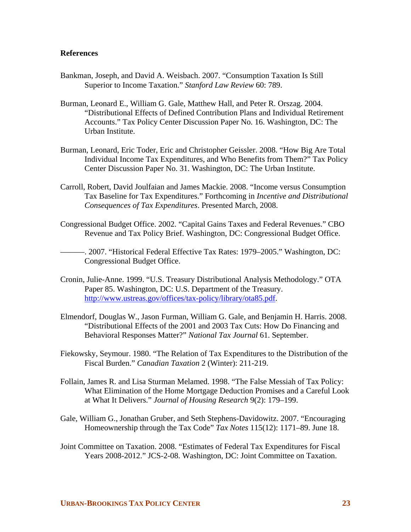## **References**

- Bankman, Joseph, and David A. Weisbach. 2007. "Consumption Taxation Is Still Superior to Income Taxation." *Stanford Law Review* 60: 789.
- Burman, Leonard E., William G. Gale, Matthew Hall, and Peter R. Orszag. 2004. "Distributional Effects of Defined Contribution Plans and Individual Retirement Accounts." Tax Policy Center Discussion Paper No. 16. Washington, DC: The Urban Institute.
- Burman, Leonard, Eric Toder, Eric and Christopher Geissler. 2008. "How Big Are Total Individual Income Tax Expenditures, and Who Benefits from Them?" Tax Policy Center Discussion Paper No. 31. Washington, DC: The Urban Institute.
- Carroll, Robert, David Joulfaian and James Mackie. 2008. "Income versus Consumption Tax Baseline for Tax Expenditures." Forthcoming in *Incentive and Distributional Consequences of Tax Expenditures*. Presented March, 2008.
- Congressional Budget Office. 2002. "Capital Gains Taxes and Federal Revenues." CBO Revenue and Tax Policy Brief. Washington, DC: Congressional Budget Office.
- ———. 2007. "Historical Federal Effective Tax Rates: 1979–2005." Washington, DC: Congressional Budget Office.
- Cronin, Julie-Anne. 1999. "U.S. Treasury Distributional Analysis Methodology." OTA Paper 85. Washington, DC: U.S. Department of the Treasury. <http://www.ustreas.gov/offices/tax-policy/library/ota85.pdf>.
- Elmendorf, Douglas W., Jason Furman, William G. Gale, and Benjamin H. Harris. 2008. "Distributional Effects of the 2001 and 2003 Tax Cuts: How Do Financing and Behavioral Responses Matter?" *National Tax Journal* 61. September.
- Fiekowsky, Seymour. 1980. "The Relation of Tax Expenditures to the Distribution of the Fiscal Burden." *Canadian Taxation* 2 (Winter): 211-219.
- Follain, James R. and Lisa Sturman Melamed. 1998. "The False Messiah of Tax Policy: What Elimination of the Home Mortgage Deduction Promises and a Careful Look at What It Delivers." *Journal of Housing Research* 9(2): 179–199.
- Gale, William G., Jonathan Gruber, and Seth Stephens-Davidowitz. 2007. "Encouraging Homeownership through the Tax Code" *Tax Notes* 115(12): 1171–89. June 18.
- Joint Committee on Taxation. 2008. "Estimates of Federal Tax Expenditures for Fiscal Years 2008-2012." JCS-2-08. Washington, DC: Joint Committee on Taxation.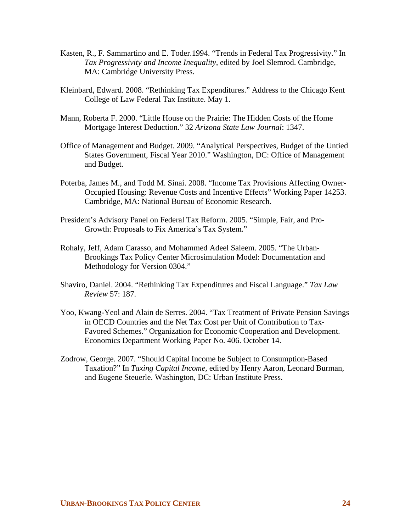- Kasten, R., F. Sammartino and E. Toder.1994. "Trends in Federal Tax Progressivity." In *Tax Progressivity and Income Inequality,* edited by Joel Slemrod. Cambridge, MA: Cambridge University Press.
- Kleinbard, Edward. 2008. "Rethinking Tax Expenditures." Address to the Chicago Kent College of Law Federal Tax Institute. May 1.
- Mann, Roberta F. 2000. "Little House on the Prairie: The Hidden Costs of the Home Mortgage Interest Deduction." 32 *Arizona State Law Journal*: 1347.
- Office of Management and Budget. 2009. "Analytical Perspectives, Budget of the Untied States Government, Fiscal Year 2010." Washington, DC: Office of Management and Budget.
- Poterba, James M., and Todd M. Sinai. 2008. "Income Tax Provisions Affecting Owner-Occupied Housing: Revenue Costs and Incentive Effects" Working Paper 14253. Cambridge, MA: National Bureau of Economic Research.
- President's Advisory Panel on Federal Tax Reform. 2005. "Simple, Fair, and Pro-Growth: Proposals to Fix America's Tax System."
- Rohaly, Jeff, Adam Carasso, and Mohammed Adeel Saleem. 2005. "The Urban-Brookings Tax Policy Center Microsimulation Model: Documentation and Methodology for Version 0304."
- Shaviro, Daniel. 2004. "Rethinking Tax Expenditures and Fiscal Language." *Tax Law Review* 57: 187.
- Yoo, Kwang-Yeol and Alain de Serres. 2004. "Tax Treatment of Private Pension Savings in OECD Countries and the Net Tax Cost per Unit of Contribution to Tax-Favored Schemes." Organization for Economic Cooperation and Development. Economics Department Working Paper No. 406. October 14.
- Zodrow, George. 2007. "Should Capital Income be Subject to Consumption-Based Taxation?" In *Taxing Capital Income,* edited by Henry Aaron, Leonard Burman, and Eugene Steuerle. Washington, DC: Urban Institute Press.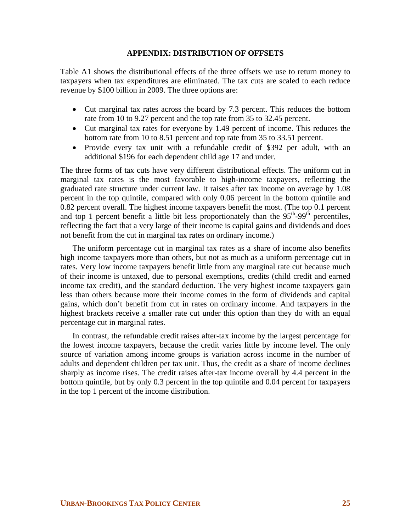### **APPENDIX: DISTRIBUTION OF OFFSETS**

Table A1 shows the distributional effects of the three offsets we use to return money to taxpayers when tax expenditures are eliminated. The tax cuts are scaled to each reduce revenue by \$100 billion in 2009. The three options are:

- Cut marginal tax rates across the board by 7.3 percent. This reduces the bottom rate from 10 to 9.27 percent and the top rate from 35 to 32.45 percent.
- Cut marginal tax rates for everyone by 1.49 percent of income. This reduces the bottom rate from 10 to 8.51 percent and top rate from 35 to 33.51 percent.
- Provide every tax unit with a refundable credit of \$392 per adult, with an additional \$196 for each dependent child age 17 and under.

The three forms of tax cuts have very different distributional effects. The uniform cut in marginal tax rates is the most favorable to high-income taxpayers, reflecting the graduated rate structure under current law. It raises after tax income on average by 1.08 percent in the top quintile, compared with only 0.06 percent in the bottom quintile and 0.82 percent overall. The highest income taxpayers benefit the most. (The top 0.1 percent and top 1 percent benefit a little bit less proportionately than the  $95<sup>th</sup>-99<sup>th</sup>$  percentiles, reflecting the fact that a very large of their income is capital gains and dividends and does not benefit from the cut in marginal tax rates on ordinary income.)

The uniform percentage cut in marginal tax rates as a share of income also benefits high income taxpayers more than others, but not as much as a uniform percentage cut in rates. Very low income taxpayers benefit little from any marginal rate cut because much of their income is untaxed, due to personal exemptions, credits (child credit and earned income tax credit), and the standard deduction. The very highest income taxpayers gain less than others because more their income comes in the form of dividends and capital gains, which don't benefit from cut in rates on ordinary income. And taxpayers in the highest brackets receive a smaller rate cut under this option than they do with an equal percentage cut in marginal rates.

In contrast, the refundable credit raises after-tax income by the largest percentage for the lowest income taxpayers, because the credit varies little by income level. The only source of variation among income groups is variation across income in the number of adults and dependent children per tax unit. Thus, the credit as a share of income declines sharply as income rises. The credit raises after-tax income overall by 4.4 percent in the bottom quintile, but by only 0.3 percent in the top quintile and 0.04 percent for taxpayers in the top 1 percent of the income distribution.